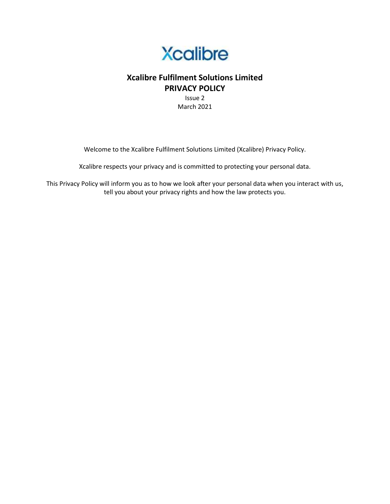

# **Xcalibre Fulfilment Solutions Limited PRIVACY POLICY**

Issue 2 March 2021

Welcome to the Xcalibre Fulfilment Solutions Limited (Xcalibre) Privacy Policy.

Xcalibre respects your privacy and is committed to protecting your personal data.

This Privacy Policy will inform you as to how we look after your personal data when you interact with us, tell you about your privacy rights and how the law protects you.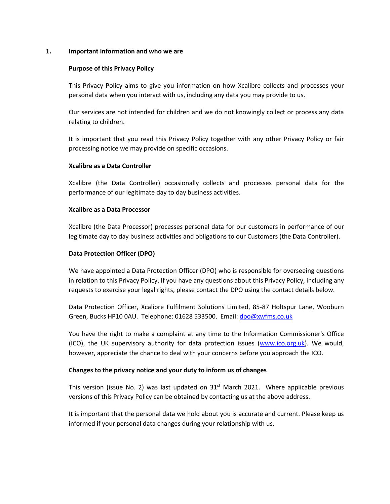#### **1. Important information and who we are**

### **Purpose of this Privacy Policy**

This Privacy Policy aims to give you information on how Xcalibre collects and processes your personal data when you interact with us, including any data you may provide to us.

Our services are not intended for children and we do not knowingly collect or process any data relating to children.

It is important that you read this Privacy Policy together with any other Privacy Policy or fair processing notice we may provide on specific occasions.

#### <span id="page-1-0"></span>**Xcalibre as a Data Controller**

Xcalibre (the Data Controller) occasionally collects and processes personal data for the performance of our legitimate day to day business activities.

#### **Xcalibre as a Data Processor**

Xcalibre (the Data Processor) processes personal data for our customers in performance of our legitimate day to day business activities and obligations to our Customers (the Data Controller).

### **Data Protection Officer (DPO)**

We have appointed a Data Protection Officer (DPO) who is responsible for overseeing questions in relation to this Privacy Policy. If you have any questions about this Privacy Policy, including any requests to exercise your legal rights, please contact the DPO using the contact details below.

Data Protection Officer, Xcalibre Fulfilment Solutions Limited, 85-87 Holtspur Lane, Wooburn Green, Bucks HP10 0AU. Telephone: 01628 533500. Email: [dpo@xwfms.co.uk](mailto:dpo@xwfms.co.uk)

You have the right to make a complaint at any time to the Information Commissioner's Office (ICO), the UK supervisory authority for data protection issues (www.ico.org.uk). We would, however, appreciate the chance to deal with your concerns before you approach the ICO.

## **Changes to the privacy notice and your duty to inform us of changes**

This version (issue No. 2) was last updated on  $31<sup>st</sup>$  March 2021. Where applicable previous versions of this Privacy Policy can be obtained by contacting us at the above address.

It is important that the personal data we hold about you is accurate and current. Please keep us informed if your personal data changes during your relationship with us.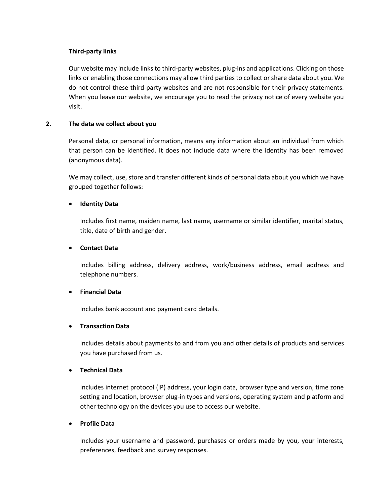## **Third-party links**

Our website may include links to third-party websites, plug-ins and applications. Clicking on those links or enabling those connections may allow third parties to collect or share data about you. We do not control these third-party websites and are not responsible for their privacy statements. When you leave our website, we encourage you to read the privacy notice of every website you visit.

## **2. The data we collect about you**

Personal data, or personal information, means any information about an individual from which that person can be identified. It does not include data where the identity has been removed (anonymous data).

We may collect, use, store and transfer different kinds of personal data about you which we have grouped together follows:

# • **Identity Data**

Includes first name, maiden name, last name, username or similar identifier, marital status, title, date of birth and gender.

# • **Contact Data**

Includes billing address, delivery address, work/business address, email address and telephone numbers.

## • **Financial Data**

Includes bank account and payment card details.

# • **Transaction Data**

Includes details about payments to and from you and other details of products and services you have purchased from us.

# • **Technical Data**

Includes internet protocol (IP) address, your login data, browser type and version, time zone setting and location, browser plug-in types and versions, operating system and platform and other technology on the devices you use to access our website.

## • **Profile Data**

Includes your username and password, purchases or orders made by you, your interests, preferences, feedback and survey responses.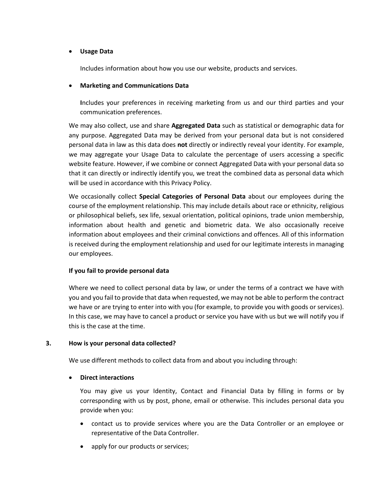## • **Usage Data**

Includes information about how you use our website, products and services.

# • **Marketing and Communications Data**

**I**ncludes your preferences in receiving marketing from us and our third parties and your communication preferences.

We may also collect, use and share **Aggregated Data** such as statistical or demographic data for any purpose. Aggregated Data may be derived from your personal data but is not considered personal data in law as this data does **not** directly or indirectly reveal your identity. For example, we may aggregate your Usage Data to calculate the percentage of users accessing a specific website feature. However, if we combine or connect Aggregated Data with your personal data so that it can directly or indirectly identify you, we treat the combined data as personal data which will be used in accordance with this Privacy Policy.

We occasionally collect **Special Categories of Personal Data** about our employees during the course of the employment relationship. This may include details about race or ethnicity, religious or philosophical beliefs, sex life, sexual orientation, political opinions, trade union membership, information about health and genetic and biometric data. We also occasionally receive information about employees and their criminal convictions and offences. All of this information is received during the employment relationship and used for our legitimate interests in managing our employees.

## **If you fail to provide personal data**

Where we need to collect personal data by law, or under the terms of a contract we have with you and you fail to provide that data when requested, we may not be able to perform the contract we have or are trying to enter into with you (for example, to provide you with goods or services). In this case, we may have to cancel a product or service you have with us but we will notify you if this is the case at the time.

## **3. How is your personal data collected?**

We use different methods to collect data from and about you including through:

## • **Direct interactions**

You may give us your Identity, Contact and Financial Data by filling in forms or by corresponding with us by post, phone, email or otherwise. This includes personal data you provide when you:

- contact us to provide services where you are the Data Controller or an employee or representative of the Data Controller.
- apply for our products or services;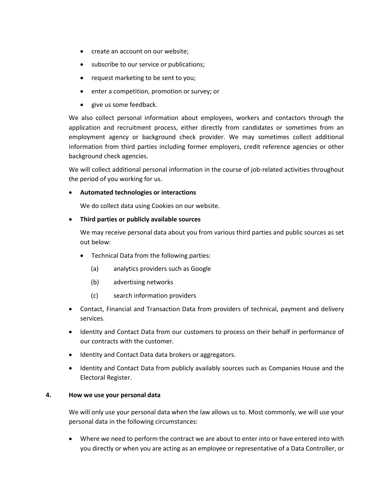- create an account on our website;
- subscribe to our service or publications;
- request marketing to be sent to you;
- enter a competition, promotion or survey; or
- give us some feedback.

We also collect personal information about employees, workers and contactors through the application and recruitment process, either directly from candidates or sometimes from an employment agency or background check provider. We may sometimes collect additional information from third parties including former employers, credit reference agencies or other background check agencies.

We will collect additional personal information in the course of job-related activities throughout the period of you working for us.

# • **Automated technologies or interactions**

We do collect data using Cookies on our website.

## • **Third parties or publicly available sources**

We may receive personal data about you from various third parties and public sources as set out below:

- Technical Data from the following parties:
	- (a) analytics providers such as Google
	- (b) advertising networks
	- (c) search information providers
- Contact, Financial and Transaction Data from providers of technical, payment and delivery services.
- Identity and Contact Data from our customers to process on their behalf in performance of our contracts with the customer.
- Identity and Contact Data data brokers or aggregators.
- Identity and Contact Data from publicly availably sources such as Companies House and the Electoral Register.

## **4. How we use your personal data**

We will only use your personal data when the law allows us to. Most commonly, we will use your personal data in the following circumstances:

• Where we need to perform the contract we are about to enter into or have entered into with you directly or when you are acting as an employee or representative of a Data Controller, or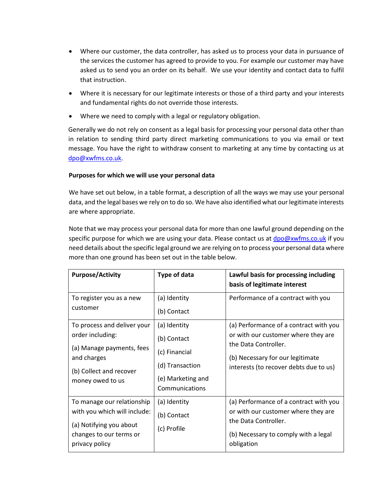- Where our customer, the data controller, has asked us to process your data in pursuance of the services the customer has agreed to provide to you. For example our customer may have asked us to send you an order on its behalf. We use your identity and contact data to fulfil that instruction.
- Where it is necessary for our legitimate interests or those of a third party and your interests and fundamental rights do not override those interests.
- Where we need to comply with a legal or regulatory obligation.

Generally we do not rely on consent as a legal basis for processing your personal data other than in relation to sending third party direct marketing communications to you via email or text message. You have the right to withdraw consent to marketing at any time by contacting us at [dpo@xwfms.co.uk.](mailto:dpo@xwfms.co.uk)

# **Purposes for which we will use your personal data**

We have set out below, in a table format, a description of all the ways we may use your personal data, and the legal bases we rely on to do so. We have also identified what our legitimate interests are where appropriate.

Note that we may process your personal data for more than one lawful ground depending on the specific purpose for which we are using your data. Please [contact us](#page-1-0) at  $dpo@xwfms.co.uk$  if you need details about the specific legal ground we are relying on to process your personal data where more than one ground has been set out in the table below.

| <b>Purpose/Activity</b>                                                                                                                    | Type of data                                                                                           | Lawful basis for processing including<br>basis of legitimate interest                                                                                                               |
|--------------------------------------------------------------------------------------------------------------------------------------------|--------------------------------------------------------------------------------------------------------|-------------------------------------------------------------------------------------------------------------------------------------------------------------------------------------|
| To register you as a new<br>customer                                                                                                       | (a) Identity<br>(b) Contact                                                                            | Performance of a contract with you                                                                                                                                                  |
| To process and deliver your<br>order including:<br>(a) Manage payments, fees<br>and charges<br>(b) Collect and recover<br>money owed to us | (a) Identity<br>(b) Contact<br>(c) Financial<br>(d) Transaction<br>(e) Marketing and<br>Communications | (a) Performance of a contract with you<br>or with our customer where they are<br>the Data Controller.<br>(b) Necessary for our legitimate<br>interests (to recover debts due to us) |
| To manage our relationship<br>with you which will include:<br>(a) Notifying you about<br>changes to our terms or<br>privacy policy         | (a) Identity<br>(b) Contact<br>(c) Profile                                                             | (a) Performance of a contract with you<br>or with our customer where they are<br>the Data Controller.<br>(b) Necessary to comply with a legal<br>obligation                         |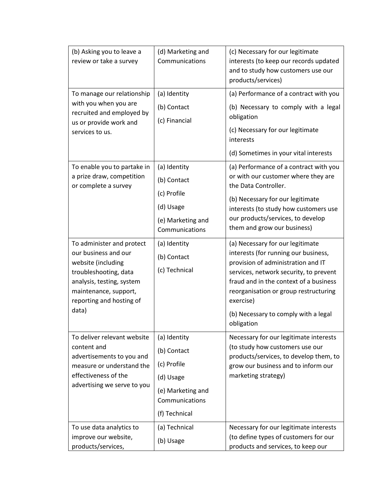| (b) Asking you to leave a<br>review or take a survey<br>To manage our relationship<br>with you when you are<br>recruited and employed by<br>us or provide work and<br>services to us.       | (d) Marketing and<br>Communications<br>(a) Identity<br>(b) Contact<br>(c) Financial                             | (c) Necessary for our legitimate<br>interests (to keep our records updated<br>and to study how customers use our<br>products/services)<br>(a) Performance of a contract with you<br>(b) Necessary to comply with a legal<br>obligation<br>(c) Necessary for our legitimate<br>interests<br>(d) Sometimes in your vital interests |
|---------------------------------------------------------------------------------------------------------------------------------------------------------------------------------------------|-----------------------------------------------------------------------------------------------------------------|----------------------------------------------------------------------------------------------------------------------------------------------------------------------------------------------------------------------------------------------------------------------------------------------------------------------------------|
| To enable you to partake in<br>a prize draw, competition<br>or complete a survey                                                                                                            | (a) Identity<br>(b) Contact<br>(c) Profile<br>(d) Usage<br>(e) Marketing and<br>Communications                  | (a) Performance of a contract with you<br>or with our customer where they are<br>the Data Controller.<br>(b) Necessary for our legitimate<br>interests (to study how customers use<br>our products/services, to develop<br>them and grow our business)                                                                           |
| To administer and protect<br>our business and our<br>website (including<br>troubleshooting, data<br>analysis, testing, system<br>maintenance, support,<br>reporting and hosting of<br>data) | (a) Identity<br>(b) Contact<br>(c) Technical                                                                    | (a) Necessary for our legitimate<br>interests (for running our business,<br>provision of administration and IT<br>services, network security, to prevent<br>fraud and in the context of a business<br>reorganisation or group restructuring<br>exercise)<br>(b) Necessary to comply with a legal<br>obligation                   |
| To deliver relevant website<br>content and<br>advertisements to you and<br>measure or understand the<br>effectiveness of the<br>advertising we serve to you                                 | (a) Identity<br>(b) Contact<br>(c) Profile<br>(d) Usage<br>(e) Marketing and<br>Communications<br>(f) Technical | Necessary for our legitimate interests<br>(to study how customers use our<br>products/services, to develop them, to<br>grow our business and to inform our<br>marketing strategy)                                                                                                                                                |
| To use data analytics to<br>improve our website,<br>products/services,                                                                                                                      | (a) Technical<br>(b) Usage                                                                                      | Necessary for our legitimate interests<br>(to define types of customers for our<br>products and services, to keep our                                                                                                                                                                                                            |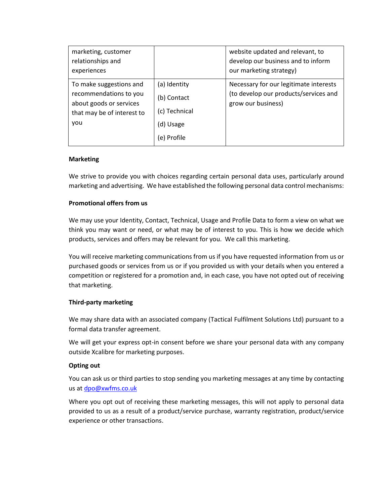| marketing, customer<br>relationships and<br>experiences                                                           |                                                                          | website updated and relevant, to<br>develop our business and to inform<br>our marketing strategy)     |
|-------------------------------------------------------------------------------------------------------------------|--------------------------------------------------------------------------|-------------------------------------------------------------------------------------------------------|
| To make suggestions and<br>recommendations to you<br>about goods or services<br>that may be of interest to<br>you | (a) Identity<br>(b) Contact<br>(c) Technical<br>(d) Usage<br>(e) Profile | Necessary for our legitimate interests<br>(to develop our products/services and<br>grow our business) |

# **Marketing**

We strive to provide you with choices regarding certain personal data uses, particularly around marketing and advertising. We have established the following personal data control mechanisms:

# **Promotional offers from us**

We may use your Identity, Contact, Technical, Usage and Profile Data to form a view on what we think you may want or need, or what may be of interest to you. This is how we decide which products, services and offers may be relevant for you. We call this marketing.

You will receive marketing communications from us if you have requested information from us or purchased goods or services from us or if you provided us with your details when you entered a competition or registered for a promotion and, in each case, you have not opted out of receiving that marketing.

# **Third-party marketing**

We may share data with an associated company (Tactical Fulfilment Solutions Ltd) pursuant to a formal data transfer agreement.

We will get your express opt-in consent before we share your personal data with any company outside Xcalibre for marketing purposes.

## **Opting out**

You can ask us or third parties to stop sending you marketing messages at any time by contacting us at [dpo@xwfms.co.uk](mailto:dpo@xwfms.co.uk)

Where you opt out of receiving these marketing messages, this will not apply to personal data provided to us as a result of a product/service purchase, warranty registration, product/service experience or other transactions.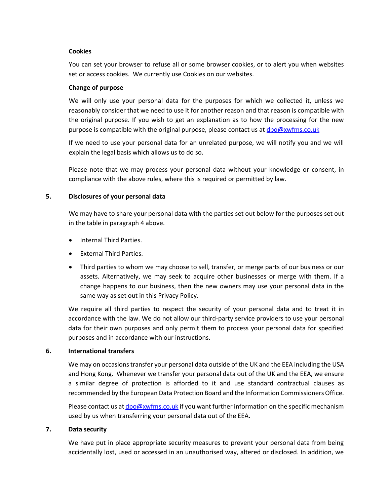#### **Cookies**

You can set your browser to refuse all or some browser cookies, or to alert you when websites set or access cookies. We currently use Cookies on our websites.

#### **Change of purpose**

We will only use your personal data for the purposes for which we collected it, unless we reasonably consider that we need to use it for another reason and that reason is compatible with the original purpose. If you wish to get an explanation as to how the processing for the new purpose is compatible with the original purpose, please [contact us](#page-1-0) a[t dpo@xwfms.co.uk](mailto:dpo@xwfms.co.uk)

If we need to use your personal data for an unrelated purpose, we will notify you and we will explain the legal basis which allows us to do so.

Please note that we may process your personal data without your knowledge or consent, in compliance with the above rules, where this is required or permitted by law.

## **5. Disclosures of your personal data**

We may have to share your personal data with the parties set out below for the purposes set out in the table in paragraph 4 above.

- Internal Third Parties.
- External Third Parties.
- Third parties to whom we may choose to sell, transfer, or merge parts of our business or our assets. Alternatively, we may seek to acquire other businesses or merge with them. If a change happens to our business, then the new owners may use your personal data in the same way as set out in this Privacy Policy.

We require all third parties to respect the security of your personal data and to treat it in accordance with the law. We do not allow our third-party service providers to use your personal data for their own purposes and only permit them to process your personal data for specified purposes and in accordance with our instructions.

#### **6. International transfers**

We may on occasions transfer your personal data outside of the UK and the EEA including the USA and Hong Kong. Whenever we transfer your personal data out of the UK and the EEA, we ensure a similar degree of protection is afforded to it and use standard contractual clauses as recommended by the European Data Protection Board and the Information Commissioners Office.

Please [contact us](#page-1-0) a[t dpo@xwfms.co.uk](mailto:dpo@xwfms.co.uk) if you want further information on the specific mechanism used by us when transferring your personal data out of the EEA.

#### **7. Data security**

We have put in place appropriate security measures to prevent your personal data from being accidentally lost, used or accessed in an unauthorised way, altered or disclosed. In addition, we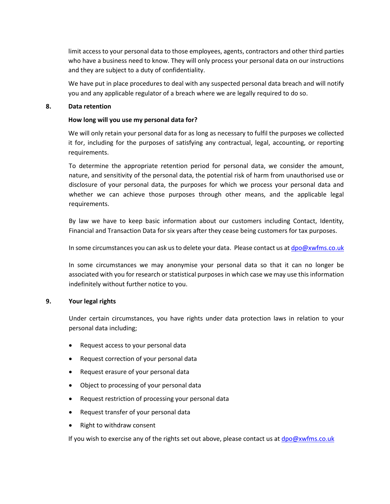limit access to your personal data to those employees, agents, contractors and other third parties who have a business need to know. They will only process your personal data on our instructions and they are subject to a duty of confidentiality.

We have put in place procedures to deal with any suspected personal data breach and will notify you and any applicable regulator of a breach where we are legally required to do so.

#### **8. Data retention**

### **How long will you use my personal data for?**

We will only retain your personal data for as long as necessary to fulfil the purposes we collected it for, including for the purposes of satisfying any contractual, legal, accounting, or reporting requirements.

To determine the appropriate retention period for personal data, we consider the amount, nature, and sensitivity of the personal data, the potential risk of harm from unauthorised use or disclosure of your personal data, the purposes for which we process your personal data and whether we can achieve those purposes through other means, and the applicable legal requirements.

By law we have to keep basic information about our customers including Contact, Identity, Financial and Transaction Data for six years after they cease being customers for tax purposes.

In some circumstances you can ask us to delete your data. Please contact us a[t dpo@xwfms.co.uk](mailto:dpo@xwfms.co.uk)

In some circumstances we may anonymise your personal data so that it can no longer be associated with you for research or statistical purposes in which case we may use this information indefinitely without further notice to you.

## **9. Your legal rights**

Under certain circumstances, you have rights under data protection laws in relation to your personal data including;

- Request access to your personal data
- Request correction of your personal data
- Request erasure of your personal data
- Object to processing of your personal data
- Request restriction of processing your personal data
- Request transfer of your personal data
- Right to withdraw consent

If you wish to exercise any of the rights set out above, please [contact us](#page-1-0) at  $\frac{d}{d}$  po@xwfms.co.uk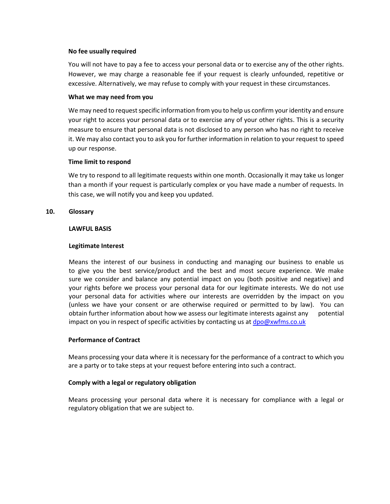#### **No fee usually required**

You will not have to pay a fee to access your personal data or to exercise any of the other rights. However, we may charge a reasonable fee if your request is clearly unfounded, repetitive or excessive. Alternatively, we may refuse to comply with your request in these circumstances.

#### **What we may need from you**

We may need to request specific information from you to help us confirm your identity and ensure your right to access your personal data or to exercise any of your other rights. This is a security measure to ensure that personal data is not disclosed to any person who has no right to receive it. We may also contact you to ask you for further information in relation to your request to speed up our response.

## **Time limit to respond**

We try to respond to all legitimate requests within one month. Occasionally it may take us longer than a month if your request is particularly complex or you have made a number of requests. In this case, we will notify you and keep you updated.

#### **10. Glossary**

#### **LAWFUL BASIS**

#### **Legitimate Interest**

Means the interest of our business in conducting and managing our business to enable us to give you the best service/product and the best and most secure experience. We make sure we consider and balance any potential impact on you (both positive and negative) and your rights before we process your personal data for our legitimate interests. We do not use your personal data for activities where our interests are overridden by the impact on you (unless we have your consent or are otherwise required or permitted to by law). You can obtain further information about how we assess our legitimate interests against any potential impact on you in respect of specific activities b[y contacting us](#page-1-0) at [dpo@xwfms.co.uk](mailto:dpo@xwfms.co.uk)

## **Performance of Contract**

Means processing your data where it is necessary for the performance of a contract to which you are a party or to take steps at your request before entering into such a contract.

## **Comply with a legal or regulatory obligation**

Means processing your personal data where it is necessary for compliance with a legal or regulatory obligation that we are subject to.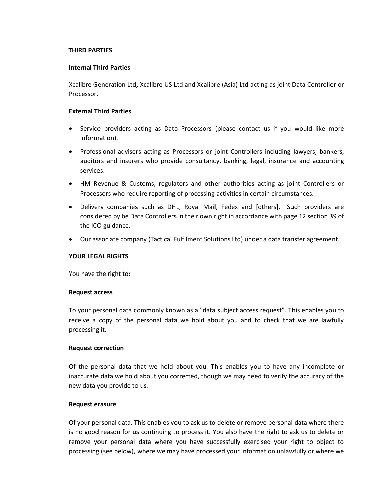#### **THIRD PARTIES**

#### **Internal Third Parties**

Xcalibre Generation Ltd, Xcalibre US Ltd and Xcalibre (Asia) Ltd acting as joint Data Controller or Processor.

### **External Third Parties**

- Service providers acting as Data Processors (please contact us if you would like more information).
- Professional advisers acting as Processors or joint Controllers including lawyers, bankers, auditors and insurers who provide consultancy, banking, legal, insurance and accounting services.
- HM Revenue & Customs, regulators and other authorities acting as joint Controllers or Processors who require reporting of processing activities in certain circumstances.
- Delivery companies such as DHL, Royal Mail, Fedex and [others]. Such providers are considered by be Data Controllers in their own right in accordance with page 12 section 39 of the ICO guidance.
- Our associate company (Tactical Fulfilment Solutions Ltd) under a data transfer agreement.

#### **YOUR LEGAL RIGHTS**

You have the right to:

#### **Request access**

To your personal data commonly known as a "data subject access request". This enables you to receive a copy of the personal data we hold about you and to check that we are lawfully processing it.

#### **Request correction**

Of the personal data that we hold about you. This enables you to have any incomplete or inaccurate data we hold about you corrected, though we may need to verify the accuracy of the new data you provide to us.

#### **Request erasure**

Of your personal data. This enables you to ask us to delete or remove personal data where there is no good reason for us continuing to process it. You also have the right to ask us to delete or remove your personal data where you have successfully exercised your right to object to processing (see below), where we may have processed your information unlawfully or where we